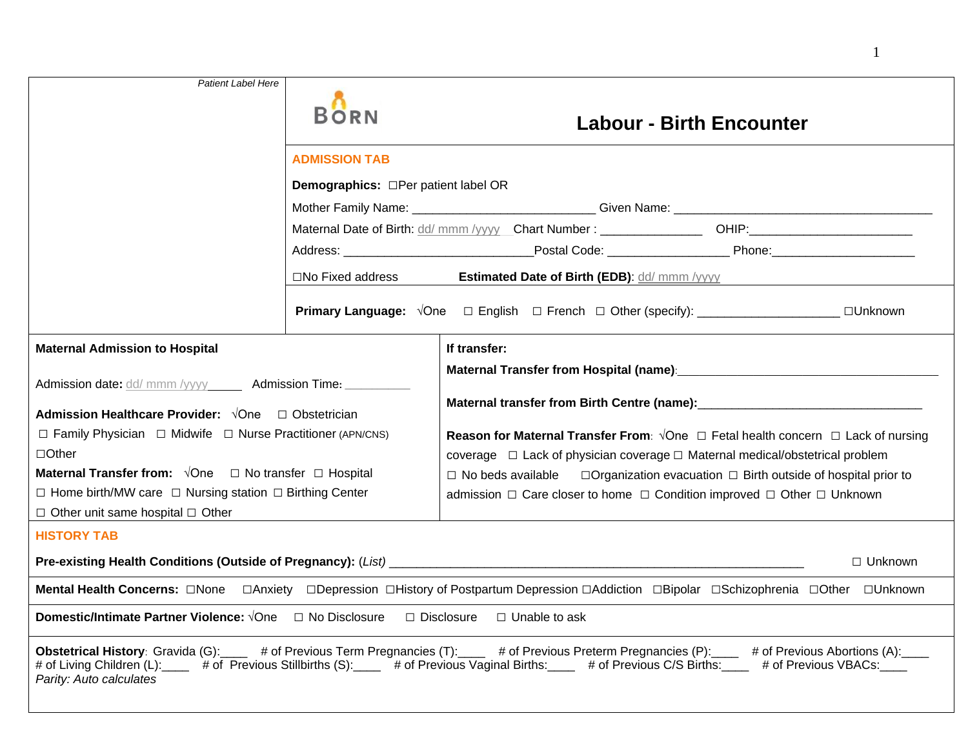| <b>Patient Label Here</b>                                                                                                                                                                                                                                                                                                                                                                                                                |                                                                                                      |                                                                                                                                                                                                                                                                                                              |  |  |  |  |
|------------------------------------------------------------------------------------------------------------------------------------------------------------------------------------------------------------------------------------------------------------------------------------------------------------------------------------------------------------------------------------------------------------------------------------------|------------------------------------------------------------------------------------------------------|--------------------------------------------------------------------------------------------------------------------------------------------------------------------------------------------------------------------------------------------------------------------------------------------------------------|--|--|--|--|
|                                                                                                                                                                                                                                                                                                                                                                                                                                          | <b>BORN</b>                                                                                          | <b>Labour - Birth Encounter</b>                                                                                                                                                                                                                                                                              |  |  |  |  |
|                                                                                                                                                                                                                                                                                                                                                                                                                                          | <b>ADMISSION TAB</b>                                                                                 |                                                                                                                                                                                                                                                                                                              |  |  |  |  |
|                                                                                                                                                                                                                                                                                                                                                                                                                                          | <b>Demographics:</b> □Per patient label OR                                                           |                                                                                                                                                                                                                                                                                                              |  |  |  |  |
|                                                                                                                                                                                                                                                                                                                                                                                                                                          |                                                                                                      |                                                                                                                                                                                                                                                                                                              |  |  |  |  |
|                                                                                                                                                                                                                                                                                                                                                                                                                                          | Maternal Date of Birth: dd/ mmm /yyyy Chart Number: ___________________ OHIP:_______________________ |                                                                                                                                                                                                                                                                                                              |  |  |  |  |
|                                                                                                                                                                                                                                                                                                                                                                                                                                          |                                                                                                      |                                                                                                                                                                                                                                                                                                              |  |  |  |  |
|                                                                                                                                                                                                                                                                                                                                                                                                                                          | $\square$ No Fixed address<br><b>Estimated Date of Birth (EDB): dd/ mmm /yyyy</b>                    |                                                                                                                                                                                                                                                                                                              |  |  |  |  |
|                                                                                                                                                                                                                                                                                                                                                                                                                                          |                                                                                                      | <b>Primary Language:</b> $\sqrt{One}$ □ English □ French □ Other (specify): ________________________□Unknown                                                                                                                                                                                                 |  |  |  |  |
| <b>Maternal Admission to Hospital</b>                                                                                                                                                                                                                                                                                                                                                                                                    |                                                                                                      | If transfer:                                                                                                                                                                                                                                                                                                 |  |  |  |  |
| Admission date: dd/ mmm /yyyy ______ Admission Time: __________<br><b>Admission Healthcare Provider:</b> √One □ Obstetrician<br>$\Box$ Family Physician $\Box$ Midwife $\Box$ Nurse Practitioner (APN/CNS)<br>$\Box$ Other<br><b>Maternal Transfer from:</b> $\sqrt{O}$ ne $\Box$ No transfer $\Box$ Hospital<br>$\Box$ Home birth/MW care $\Box$ Nursing station $\Box$ Birthing Center<br>$\Box$ Other unit same hospital $\Box$ Other |                                                                                                      | <b>Reason for Maternal Transfer From:</b> $\sqrt{O}$ ne $\Box$ Fetal health concern $\Box$ Lack of nursing<br>coverage $\Box$ Lack of physician coverage $\Box$ Maternal medical/obstetrical problem<br>$\Box$ Organization evacuation $\Box$ Birth outside of hospital prior to<br>$\Box$ No beds available |  |  |  |  |
| <b>HISTORY TAB</b><br>$\Box$ Unknown                                                                                                                                                                                                                                                                                                                                                                                                     |                                                                                                      |                                                                                                                                                                                                                                                                                                              |  |  |  |  |
|                                                                                                                                                                                                                                                                                                                                                                                                                                          |                                                                                                      |                                                                                                                                                                                                                                                                                                              |  |  |  |  |
|                                                                                                                                                                                                                                                                                                                                                                                                                                          |                                                                                                      |                                                                                                                                                                                                                                                                                                              |  |  |  |  |
| <b>Domestic/Intimate Partner Violence:</b> $\sqrt{One}$ $\Box$ No Disclosure $\Box$ Disclosure $\Box$ Unable to ask                                                                                                                                                                                                                                                                                                                      |                                                                                                      |                                                                                                                                                                                                                                                                                                              |  |  |  |  |
| Obstetrical History: Gravida (G): # of Previous Term Pregnancies (T): # of Previous Preterm Pregnancies (P): # of Previous Abortions (A):<br># of Living Children (L): # of Previous Stillbirths (S): # of Previous Vaginal Births: # of Previous C/S Births: # of Previous VBACs:<br>Parity: Auto calculates                                                                                                                            |                                                                                                      |                                                                                                                                                                                                                                                                                                              |  |  |  |  |

1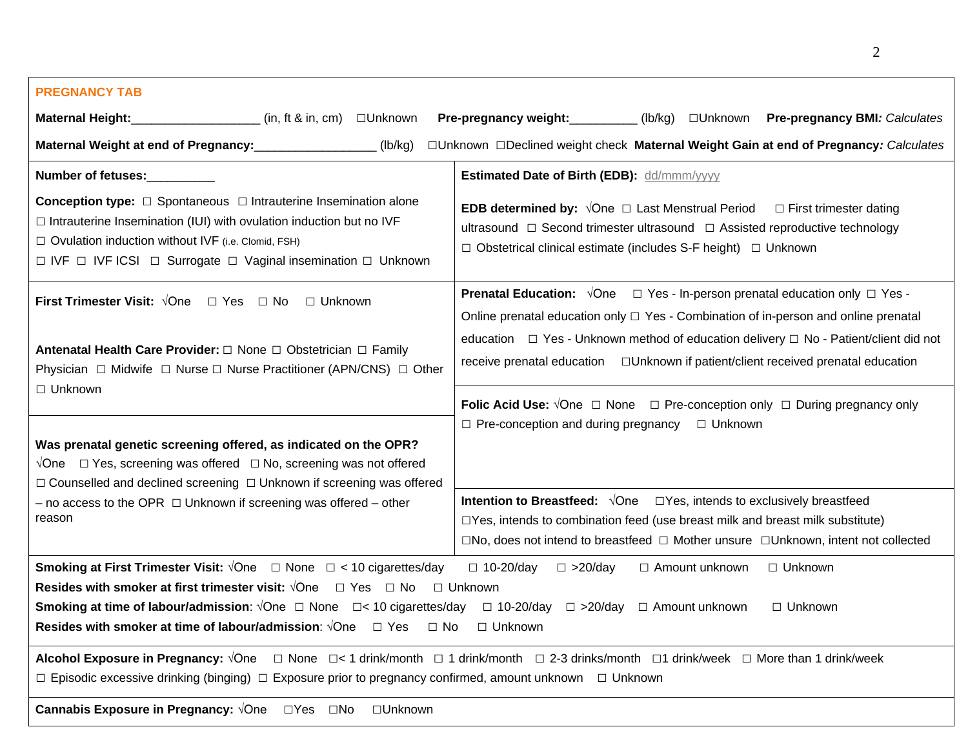# Maternal Height: \_\_\_\_\_\_\_\_\_\_\_\_\_\_\_\_\_\_\_\_(in, ft & in, cm) □Unknown  $(Ib/ka)$ **Conception type:**  $\Box$  Spontaneous  $\Box$  Intrauterine Insemination alone  $\Box$  Intrauterine Insemination (IUI) with ovulation induction but no IVF  $\Box$  Ovulation induction without IVF (i.e. Clomid, FSH) □ IVF □ IVF ICSI □ Surrogate □ Vaginal insemination □ Unknown  **Number of fetuses:**\_\_\_\_\_\_\_\_\_\_ **Estimated Date of Birth (EDB):** dd/mmm/yyyy **Conception type:** □ Spontaneous □ Intrauterine Insemination alone **EDB determined by:** √One □ Last Menstrual Period □ First trimester dating  **First Trimester Visit:** √One □ Yes □ No **□** Unknown Physician **□** Midwife **□** Nurse **□** Nurse Practitioner (APN/CNS) **□** Other  $\Box$  Unknown **Prenatal Education:**  $\sqrt{One}$   $\square$  Yes - In-person prenatal education only  $\square$  Yes -Online prenatal education only □ Yes - Combination of in-person and online prenatal education □ Yes - Unknown method of education delivery □ No - Patient/client did not receive prenatal education **□**Unknown if patient/client received prenatal education **Folic Acid Use:** √One □ None □ Pre-conception only □ During pregnancy only □ Pre-conception and during pregnancy □ Unknown √One □ Yes, screening was offered □ No, screening was not offered  $-$  no access to the OPR  $\Box$  Unknown if screening was offered  $-$  other □No, does not intend to breastfeed **□** Mother unsure **□**Unknown, intent not collected **Smoking at First Trimester Visit:** √One □ None □ < 10 cigarettes/day □ 10-20/day □ >20/day □ Amount unknown □ Unknown **Resides with smoker at first trimester visit:** √One □ Yes □ No □ Unknown **Smoking at time of labour/admission**: √One **□** None □< 10 cigarettes/day **□** 10-20/day **□** >20/day **□** Amount unknown □ Unknown **Resides with smoker at time of labour/admission**: √One **□** Yes **□** No **□** Unknown **Alcohol Exposure in Pregnancy:** √One □ None □< 1 drink/month **□** 1 drink/month □ 2-3 drinks/month **□**1 drink/week **□** More than 1 drink/week **□** Episodic excessive drinking (binging) **□** Exposure prior to pregnancy confirmed, amount unknown **□** Unknown **Cannabis Exposure in Pregnancy:** √One □Yes □No **□**Unknown **PREGNANCY TAB Pre-pregnancy weight:**\_\_\_\_\_\_\_\_\_\_\_\_\_(lb/kg) □Unknown **Pre-pregnancy BMI***: Calculates* **Maternal Weight at end of Pregnancy:**\_\_\_\_\_\_\_\_\_\_\_\_\_\_\_\_\_\_ (lb/kg) □Unknown □Declined weight check **Maternal Weight Gain at end of Pregnancy***: Calculates*   $\Box$  Intrauterine Insemination (IUI) with ovulation induction but no IVF<br>  $\Box$  Ovulation induction without IVF (i.e. Clomid, FSH)<br>  $\Box$  Obstetrical clinical estimate (includes S-F height)  $\Box$  Unknown **Antenatal Health Care Provider: □** None **□** Obstetrician **□** Family **First Trimester Visit:** √One □ Yes □ No □ Unknown<br> **Prenatal Education:** √One □ Yes - In-person prenatal education only □ Yes -<br> **Antenatal Health Care Provider:** □ None □ Obstetrician □ Family<br>
Physician □ Midwife □ Nur **Was prenatal genetic screening offered, as indicated on the OPR?**  □ Counselled and declined screening □ Unknown if screening was offered reason **Intention to Breastfeed:**  $\sqrt{O}$ ne □Yes, intends to exclusively breastfeed  $\square$ Yes, intends to combination feed (use breast milk and breast milk substitute)

2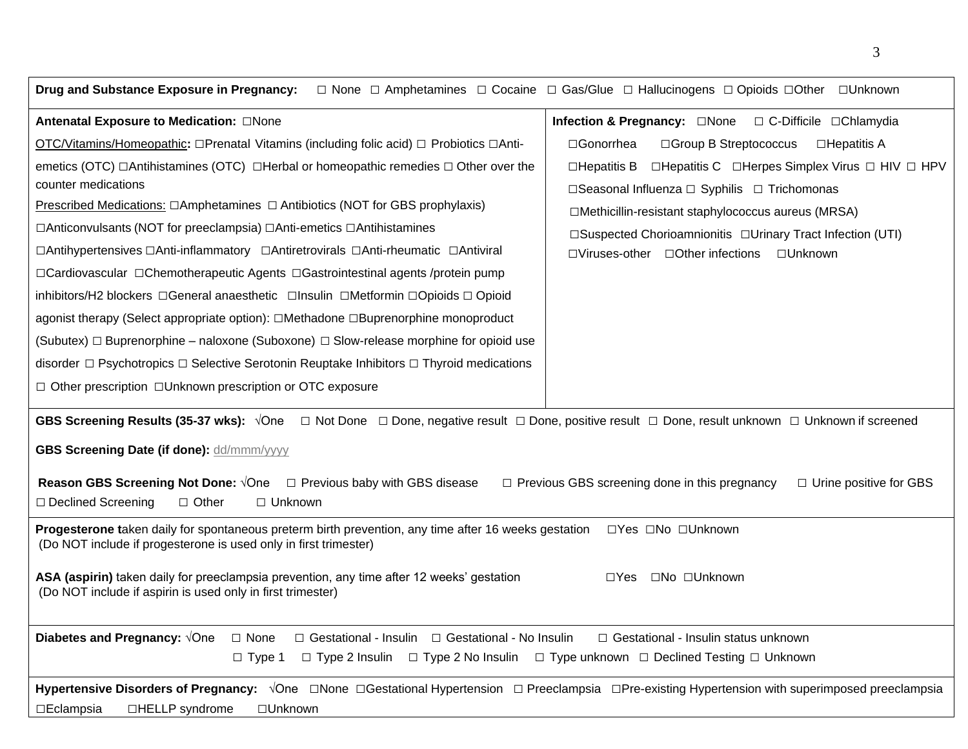| Drug and Substance Exposure in Pregnancy:                                                                                                                                                                                                                                                                                                                                                                                                                                                                                                                                                                                                                                                                                                                | $\Box$ None $\Box$ Amphetamines $\Box$ Cocaine $\Box$ Gas/Glue $\Box$ Hallucinogens $\Box$ Opioids $\Box$ Other $\Box$ Unknown                                                                                                                                                                                              |  |  |  |  |  |
|----------------------------------------------------------------------------------------------------------------------------------------------------------------------------------------------------------------------------------------------------------------------------------------------------------------------------------------------------------------------------------------------------------------------------------------------------------------------------------------------------------------------------------------------------------------------------------------------------------------------------------------------------------------------------------------------------------------------------------------------------------|-----------------------------------------------------------------------------------------------------------------------------------------------------------------------------------------------------------------------------------------------------------------------------------------------------------------------------|--|--|--|--|--|
| Antenatal Exposure to Medication: □None                                                                                                                                                                                                                                                                                                                                                                                                                                                                                                                                                                                                                                                                                                                  | <b>Infection &amp; Pregnancy:</b> □None □ C-Difficile □Chlamydia                                                                                                                                                                                                                                                            |  |  |  |  |  |
| OTC/Vitamins/Homeopathic: □Prenatal Vitamins (including folic acid) □ Probiotics □Anti-                                                                                                                                                                                                                                                                                                                                                                                                                                                                                                                                                                                                                                                                  | □Gonorrhea<br>□Group B Streptococcus<br>$\Box$ Hepatitis A                                                                                                                                                                                                                                                                  |  |  |  |  |  |
| emetics (OTC) $\Box$ Antihistamines (OTC) $\Box$ Herbal or homeopathic remedies $\Box$ Other over the<br>counter medications<br>Prescribed Medications: $\Box$ Amphetamines $\Box$ Antibiotics (NOT for GBS prophylaxis)<br>□Anticonvulsants (NOT for preeclampsia) □Anti-emetics □Antihistamines<br>□Antihypertensives □Anti-inflammatory □Antiretrovirals □Anti-rheumatic □Antiviral<br>□Cardiovascular □Chemotherapeutic Agents □Gastrointestinal agents /protein pump<br>inhibitors/H2 blockers □General anaesthetic □Insulin □Metformin □Opioids □ Opioid<br>agonist therapy (Select appropriate option): □Methadone □Buprenorphine monoproduct<br>(Subutex) $\Box$ Buprenorphine – naloxone (Suboxone) $\Box$ Slow-release morphine for opioid use | $\Box$ Hepatitis C $\Box$ Herpes Simplex Virus $\Box$ HIV $\Box$ HPV<br>$\Box$ Hepatitis B<br>□Seasonal Influenza □ Syphilis □ Trichomonas<br>□Methicillin-resistant staphylococcus aureus (MRSA)<br>□Suspected Chorioamnionitis □Urinary Tract Infection (UTI)<br>$\Box$ Viruses-other $\Box$ Other infections<br>□Unknown |  |  |  |  |  |
| disorder $\Box$ Psychotropics $\Box$ Selective Serotonin Reuptake Inhibitors $\Box$ Thyroid medications                                                                                                                                                                                                                                                                                                                                                                                                                                                                                                                                                                                                                                                  |                                                                                                                                                                                                                                                                                                                             |  |  |  |  |  |
| □ Other prescription □Unknown prescription or OTC exposure                                                                                                                                                                                                                                                                                                                                                                                                                                                                                                                                                                                                                                                                                               |                                                                                                                                                                                                                                                                                                                             |  |  |  |  |  |
| GBS Screening Results (35-37 wks): √One □ Not Done □ Done, negative result □ Done, positive result □ Done, result unknown □ Unknown if screened<br>GBS Screening Date (if done): dd/mmm/yyyy<br><b>Reason GBS Screening Not Done:</b> √One  □ Previous baby with GBS disease<br>$\Box$ Previous GBS screening done in this pregnancy<br>$\Box$ Urine positive for GBS<br>□ Declined Screening<br>$\Box$ Other<br>□ Unknown                                                                                                                                                                                                                                                                                                                               |                                                                                                                                                                                                                                                                                                                             |  |  |  |  |  |
| Progesterone taken daily for spontaneous preterm birth prevention, any time after 16 weeks gestation<br>□Yes □No □Unknown<br>(Do NOT include if progesterone is used only in first trimester)<br>□No □Unknown<br>ASA (aspirin) taken daily for preeclampsia prevention, any time after 12 weeks' gestation<br>$\Box Y$ es<br>(Do NOT include if aspirin is used only in first trimester)                                                                                                                                                                                                                                                                                                                                                                 |                                                                                                                                                                                                                                                                                                                             |  |  |  |  |  |
| Diabetes and Pregnancy: VOne<br>□ Gestational - Insulin □ Gestational - No Insulin<br>$\Box$ None<br>□ Gestational - Insulin status unknown<br>$\Box$ Type 2 Insulin $\Box$ Type 2 No Insulin $\Box$ Type unknown $\Box$ Declined Testing $\Box$ Unknown<br>$\Box$ Type 1                                                                                                                                                                                                                                                                                                                                                                                                                                                                                |                                                                                                                                                                                                                                                                                                                             |  |  |  |  |  |
| Hypertensive Disorders of Pregnancy: $\sqrt{O}$ ne $\Box$ None $\Box$ Gestational Hypertension $\Box$ Preeclampsia $\Box$ Pre-existing Hypertension with superimposed preeclampsia<br>□HELLP syndrome<br>$\Box$ Eclampsia<br>□Unknown                                                                                                                                                                                                                                                                                                                                                                                                                                                                                                                    |                                                                                                                                                                                                                                                                                                                             |  |  |  |  |  |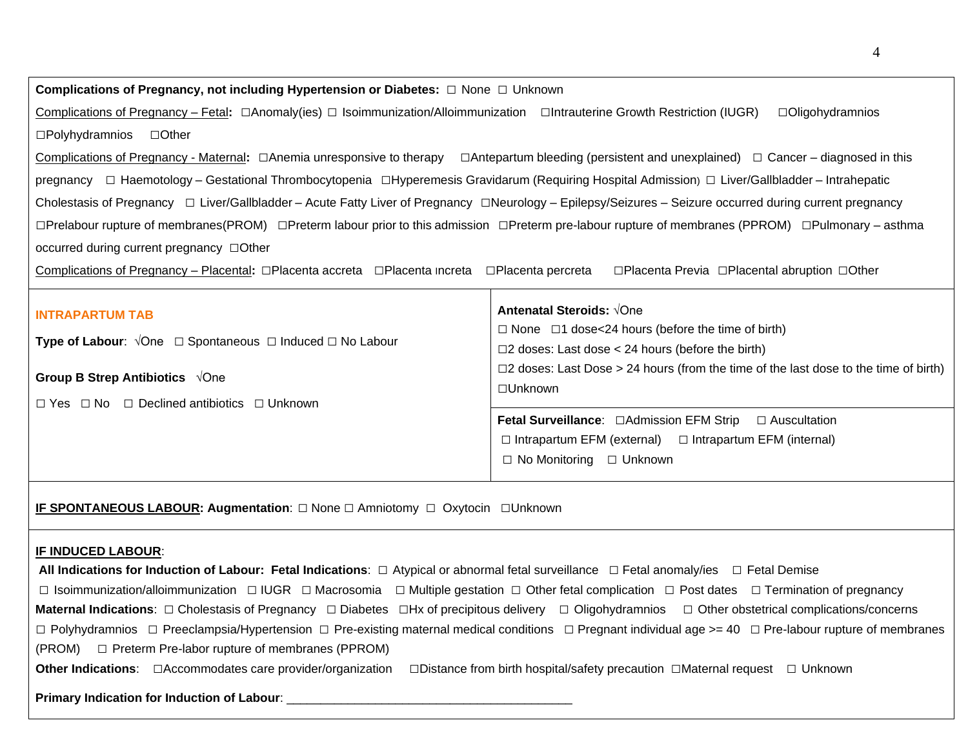# **Complications of Pregnancy, not including Hypertension or Diabetes:** □ None □ Unknown

 Complications of Pregnancy – Fetal**:** □Anomaly(ies) □ Isoimmunization/Alloimmunization □Intrauterine Growth Restriction (IUGR) □Oligohydramnios □Polyhydramnios □Other

 Complications of Pregnancy - Maternal**:** □Anemia unresponsive to therapy □Antepartum bleeding (persistent and unexplained) □ Cancer – diagnosed in this pregnancy □ Haemotology – Gestational Thrombocytopenia □Hyperemesis Gravidarum (Requiring Hospital Admission) □ Liver/Gallbladder – Intrahepatic Cholestasis of Pregnancy □ Liver/Gallbladder – Acute Fatty Liver of Pregnancy □Neurology – Epilepsy/Seizures – Seizure occurred during current pregnancy □Prelabour rupture of membranes(PROM) □Preterm labour prior to this admission □Preterm pre-labour rupture of membranes (PPROM) □Pulmonary – asthma occurred during current pregnancy □Other

Complications of Pregnancy – Placental**:** □Placenta accreta □Placenta Increta □Placenta percreta □Placenta Previa □Placental abruption □Other

| <b>INTRAPARTUM TAB</b><br><b>Type of Labour:</b> $\sqrt{O}$ ne $\Box$ Spontaneous $\Box$ Induced $\Box$ No Labour<br>Group B Strep Antibiotics $\sqrt{O}$ ne<br>$\Box$ Yes $\Box$ No $\Box$ Declined antibiotics $\Box$ Unknown | <b>Antenatal Steroids: √One</b><br>$\Box$ None $\Box$ 1 dose<24 hours (before the time of birth)<br>$\square$ 2 doses: Last dose < 24 hours (before the birth)<br>$\Box$ 2 doses: Last Dose > 24 hours (from the time of the last dose to the time of birth)  <br>$\Box$ Unknown |  |  |
|---------------------------------------------------------------------------------------------------------------------------------------------------------------------------------------------------------------------------------|----------------------------------------------------------------------------------------------------------------------------------------------------------------------------------------------------------------------------------------------------------------------------------|--|--|
|                                                                                                                                                                                                                                 | <b>Fetal Surveillance:</b> □Admission EFM Strip □ Auscultation<br>$\Box$ Intrapartum EFM (external) $\Box$ Intrapartum EFM (internal)<br>$\Box$ No Monitoring $\Box$ Unknown                                                                                                     |  |  |

**IF SPONTANEOUS LABOUR: Augmentation:** □ None □ Amniotomy □ Oxytocin □Unknown

#### **IF INDUCED LABOUR**:

 **All Indications for Induction of Labour: Fetal Indications**: □ Atypical or abnormal fetal surveillance □ Fetal anomaly/ies □ Fetal Demise □ Isoimmunization/alloimmunization □ IUGR □ Macrosomia □ Multiple gestation □ Other fetal complication □ Post dates □ Termination of pregnancy **Maternal Indications**: □ Cholestasis of Pregnancy □ Diabetes □Hx of precipitous delivery □ Oligohydramnios □ Other obstetrical complications/concerns □ Polyhydramnios □ Preeclampsia/Hypertension □ Pre-existing maternal medical conditions □ Pregnant individual age >= 40 □ Pre-labour rupture of membranes (PROM) □ Preterm Pre-labor rupture of membranes (PPROM) **Other Indications**: □Accommodates care provider/organization □Distance from birth hospital/safety precaution □Maternal request □ Unknown

#### **Primary Indication for Induction of Labour:** \_\_\_\_\_\_\_\_\_\_\_\_\_\_\_\_\_\_\_\_\_\_\_\_\_\_\_\_\_\_\_\_\_\_\_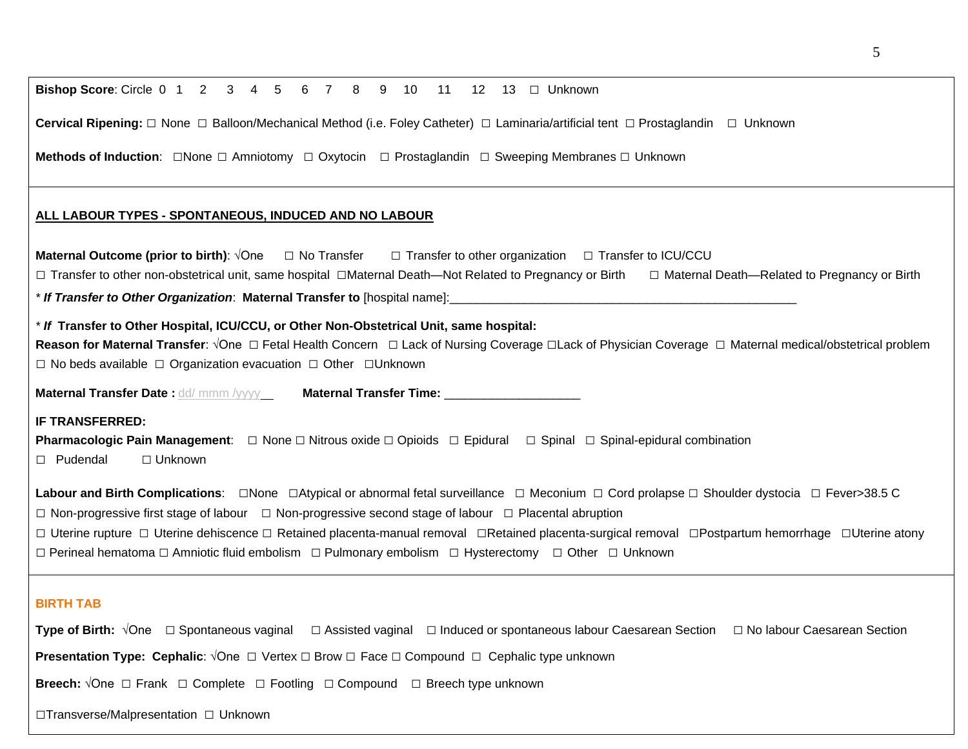| <b>Cervical Ripening:</b> $\Box$ None $\Box$ Balloon/Mechanical Method (i.e. Foley Catheter) $\Box$ Laminaria/artificial tent $\Box$ Prostaglandin<br>$\Box$ Unknown                                                                                                                                                                                                                                |
|-----------------------------------------------------------------------------------------------------------------------------------------------------------------------------------------------------------------------------------------------------------------------------------------------------------------------------------------------------------------------------------------------------|
| <b>Methods of Induction:</b> $\Box$ None $\Box$ Amniotomy $\Box$ Oxytocin $\Box$ Prostaglandin $\Box$ Sweeping Membranes $\Box$ Unknown                                                                                                                                                                                                                                                             |
| ALL LABOUR TYPES - SPONTANEOUS, INDUCED AND NO LABOUR                                                                                                                                                                                                                                                                                                                                               |
| <b>Maternal Outcome (prior to birth)</b> : $\sqrt{O}$ ne $\Box$ No Transfer $\Box$ Transfer to other organization $\Box$ Transfer to ICU/CCU<br>□ Transfer to other non-obstetrical unit, same hospital □Maternal Death—Not Related to Pregnancy or Birth □ Maternal Death—Related to Pregnancy or Birth<br>* If Transfer to Other Organization: Maternal Transfer to [hospital name]: ____________ |
| * If Transfer to Other Hospital, ICU/CCU, or Other Non-Obstetrical Unit, same hospital:<br>Reason for Maternal Transfer: √One □ Fetal Health Concern □ Lack of Nursing Coverage □ Lack of Physician Coverage □ Maternal medical/obstetrical problem<br>$\Box$ No beds available $\Box$ Organization evacuation $\Box$ Other $\Box$ Unknown                                                          |

**Maternal Transfer Date :** <u>dd/ mmm /yyyy \_</u>\_\_\_\_\_**Maternal Transfer Time:** \_\_\_\_\_\_\_\_\_\_\_\_\_\_\_\_\_\_\_\_\_\_

**Bishop Score**: Circle 0 1 2 3 4 5 6 7 8 9 10 11 12 13 □ Unknown

# **IF TRANSFERRED:**

**IF TRANSFERRED:**<br>**Pharmacologic Pain Management**: □ None □ Nitrous oxide □ Opioids □ Epidural □ Spinal □ Spinal-epidural combination □ Pudendal *□* Unknown

**Labour and Birth Complications**: □None □Atypical or abnormal fetal surveillance □ Meconium □ Cord prolapse □ Shoulder dystocia □ Fever>38.5 C

□ Non-progressive first stage of labour □ Non-progressive second stage of labour □ Placental abruption

□ Uterine rupture □ Uterine dehiscence □ Retained placenta-manual removal □Retained placenta-surgical removal □Postpartum hemorrhage □Uterine atony □ Perineal hematoma □ Amniotic fluid embolism □ Pulmonary embolism □ Hysterectomy □ Other □ Unknown

## **BIRTH TAB**

**Type of Birth:** √One □ Spontaneous vaginal □ Assisted vaginal □ Induced or spontaneous labour Caesarean Section □ No labour Caesarean Section **Presentation Type: Cephalic**: √One □ Vertex □ Brow □ Face □ Compound □ Cephalic type unknown **Breech:**  $\sqrt{O}$ ne □ Frank □ Complete □ Footling □ Compound □ Breech type unknown □Transverse/Malpresentation □ Unknown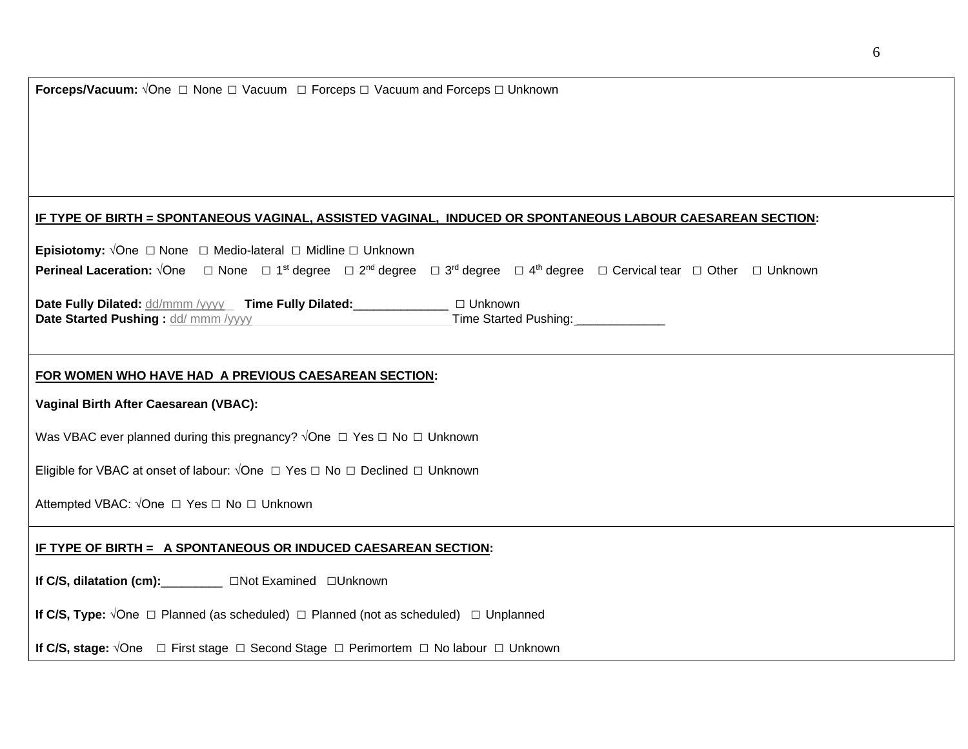| <b>Forceps/Vacuum:</b> $\sqrt{One}$ $\Box$ None $\Box$ Vacuum $\Box$ Forceps $\Box$ Vacuum and Forceps $\Box$ Unknown                                                                                                          |  |  |  |  |
|--------------------------------------------------------------------------------------------------------------------------------------------------------------------------------------------------------------------------------|--|--|--|--|
|                                                                                                                                                                                                                                |  |  |  |  |
|                                                                                                                                                                                                                                |  |  |  |  |
|                                                                                                                                                                                                                                |  |  |  |  |
| <u>IF TYPE OF BIRTH = SPONTANEOUS VAGINAL, ASSISTED VAGINAL, INDUCED OR SPONTANEOUS LABOUR CAESAREAN SECTION:</u>                                                                                                              |  |  |  |  |
| <b>Episiotomy:</b> $\sqrt{O}$ ne $\Box$ None $\Box$ Medio-lateral $\Box$ Midline $\Box$ Unknown                                                                                                                                |  |  |  |  |
| <b>Perineal Laceration:</b> $\sqrt{O}$ ne $\Box$ None $\Box$ 1 <sup>st</sup> degree $\Box$ 2 <sup>nd</sup> degree $\Box$ 3 <sup>rd</sup> degree $\Box$ 4 <sup>th</sup> degree $\Box$ Cervical tear $\Box$ Other $\Box$ Unknown |  |  |  |  |
| Date Fully Dilated: dd/mmm /yyyy Time Fully Dilated: _______________ □ Unknown                                                                                                                                                 |  |  |  |  |
| Time Started Pushing: 1990<br>Date Started Pushing: dd/ mmm /yyyy                                                                                                                                                              |  |  |  |  |
|                                                                                                                                                                                                                                |  |  |  |  |
| FOR WOMEN WHO HAVE HAD A PREVIOUS CAESAREAN SECTION:                                                                                                                                                                           |  |  |  |  |
| Vaginal Birth After Caesarean (VBAC):                                                                                                                                                                                          |  |  |  |  |
| Was VBAC ever planned during this pregnancy? $\sqrt{O}$ ne $\Box$ Yes $\Box$ No $\Box$ Unknown                                                                                                                                 |  |  |  |  |
| Eligible for VBAC at onset of labour: √One □ Yes □ No □ Declined □ Unknown                                                                                                                                                     |  |  |  |  |
| Attempted VBAC: √One □ Yes □ No □ Unknown                                                                                                                                                                                      |  |  |  |  |
| IF TYPE OF BIRTH = A SPONTANEOUS OR INDUCED CAESAREAN SECTION:                                                                                                                                                                 |  |  |  |  |
| If C/S, dilatation (cm): <u>Not Examined</u> □Unknown                                                                                                                                                                          |  |  |  |  |
| If C/S, Type: $\sqrt{One}$ $\Box$ Planned (as scheduled) $\Box$ Planned (not as scheduled) $\Box$ Unplanned                                                                                                                    |  |  |  |  |
| If C/S, stage: $\sqrt{O}$ ne $\Box$ First stage $\Box$ Second Stage $\Box$ Perimortem $\Box$ No labour $\Box$ Unknown                                                                                                          |  |  |  |  |
|                                                                                                                                                                                                                                |  |  |  |  |

6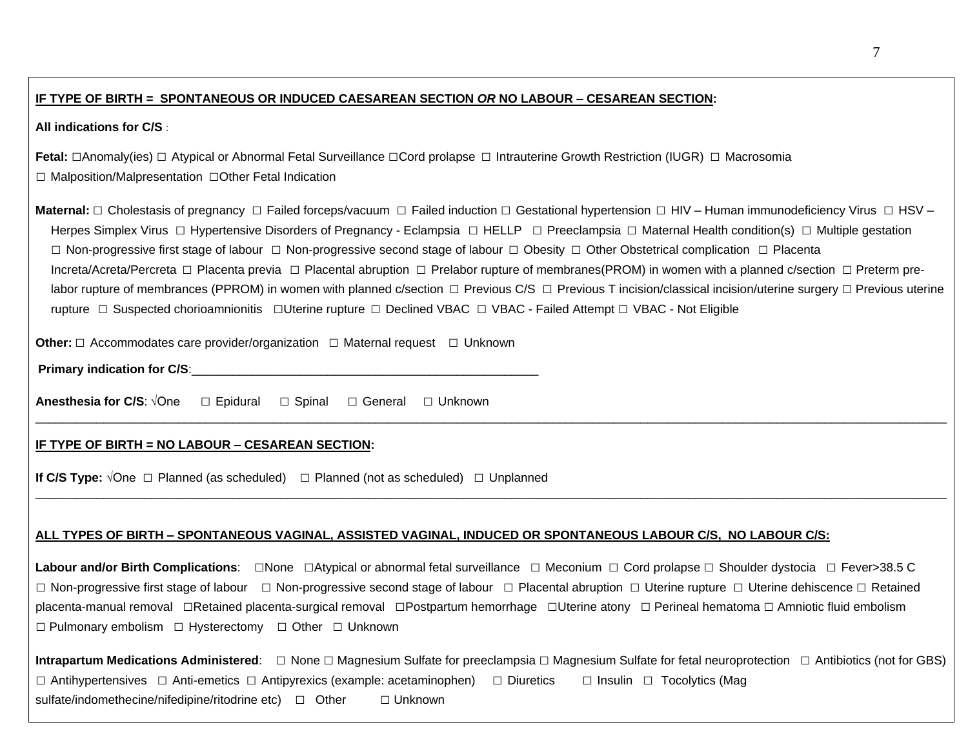### **IF TYPE OF BIRTH = SPONTANEOUS OR INDUCED CAESAREAN SECTION** *OR* **NO LABOUR – CESAREAN SECTION:**

### **All indications for C/S** :

Fetal: □Anomaly(ies) □ Atypical or Abnormal Fetal Surveillance □Cord prolapse □ Intrauterine Growth Restriction (IUGR) □ Macrosomia □ Malposition/Malpresentation **□**Other Fetal Indication

Maternal: □ Cholestasis of pregnancy □ Failed forceps/vacuum □ Failed induction □ Gestational hypertension □ HIV – Human immunodeficiency Virus □ HSV – Herpes Simplex Virus □ Hypertensive Disorders of Pregnancy - Eclampsia □ HELLP □ Preeclampsia □ Maternal Health condition(s) □ Multiple gestation □ Non-progressive first stage of labour □ Non-progressive second stage of labour □ Obesity □ Other Obstetrical complication □ Placenta Increta/Acreta/Percreta □ Placenta previa □ Placental abruption □ Prelabor rupture of membranes(PROM) in women with a planned c/section □ Preterm prelabor rupture of membrances (PPROM) in women with planned c/section □ Previous C/S □ Previous T incision/classical incision/uterine surgery □ Previous uterine rupture □ Suspected chorioamnionitis □Uterine rupture □ Declined VBAC □ VBAC - Failed Attempt □ VBAC - Not Eligible

\_\_\_\_\_\_\_\_\_\_\_\_\_\_\_\_\_\_\_\_\_\_\_\_\_\_\_\_\_\_\_\_\_\_\_\_\_\_\_\_\_\_\_\_\_\_\_\_\_\_\_\_\_\_\_\_\_\_\_\_\_\_\_\_\_\_\_\_\_\_\_\_\_\_\_\_\_\_\_\_\_\_\_\_\_\_\_\_\_\_\_\_\_\_\_\_\_\_\_\_\_\_\_\_\_\_\_\_\_\_\_\_\_\_\_\_\_\_\_\_\_\_\_\_\_\_\_\_\_\_\_\_\_\_

\_\_\_\_\_\_\_\_\_\_\_\_\_\_\_\_\_\_\_\_\_\_\_\_\_\_\_\_\_\_\_\_\_\_\_\_\_\_\_\_\_\_\_\_\_\_\_\_\_\_\_\_\_\_\_\_\_\_\_\_\_\_\_\_\_\_\_\_\_\_\_\_\_\_\_\_\_\_\_\_\_\_\_\_\_\_\_\_\_\_\_\_\_\_\_\_\_\_\_\_\_\_\_\_\_\_\_\_\_\_\_\_\_\_\_\_\_\_\_\_\_\_\_\_\_\_\_\_\_\_\_\_\_\_

**Other:** □ Accommodates care provider/organization □ Maternal request □ Unknown

|  | <b>Primary indication for C/S:</b> |
|--|------------------------------------|

Anesthesia for C/S: √One **Anesthesia for C/S**: √One □ Epidural □ Spinal □ General □ Unknown

### **IF TYPE OF BIRTH = NO LABOUR – CESAREAN SECTION:**

**If C/S Type:**  $\sqrt{O}$ ne □ Planned (as scheduled) □ Planned (not as scheduled) □ Unplanned

## **ALL TYPES OF BIRTH – SPONTANEOUS VAGINAL, ASSISTED VAGINAL, INDUCED OR SPONTANEOUS LABOUR C/S, NO LABOUR C/S:**

Labour and/or Birth Complications: □None □Atypical or abnormal fetal surveillance □ Meconium □ Cord prolapse □ Shoulder dystocia □ Fever>38.5 C □ Non-progressive first stage of labour □ Non-progressive second stage of labour □ Placental abruption □ Uterine rupture □ Uterine dehiscence □ Retained placenta-manual removal □Retained placenta-surgical removal □Postpartum hemorrhage □Uterine atony □ Perineal hematoma □ Amniotic fluid embolism □ Pulmonary embolism □ Hysterectomy □ Other □ Unknown

| <b>Intrapartum Medications Administered</b> : □ None □ Magnesium Sulfate for preeclampsia □ Magnesium Sulfate for fetal neuroprotection □ Antibiotics (not for GBS) |                |  |  |
|---------------------------------------------------------------------------------------------------------------------------------------------------------------------|----------------|--|--|
| $\Box$ Antihypertensives $\Box$ Anti-emetics $\Box$ Antipyrexics (example: acetaminophen) $\Box$ Diuretics $\Box$ Insulin $\Box$ Tocolytics (Mag                    |                |  |  |
| sulfate/indomethecine/nifedipine/ritodrine etc) □ Other                                                                                                             | $\Box$ Unknown |  |  |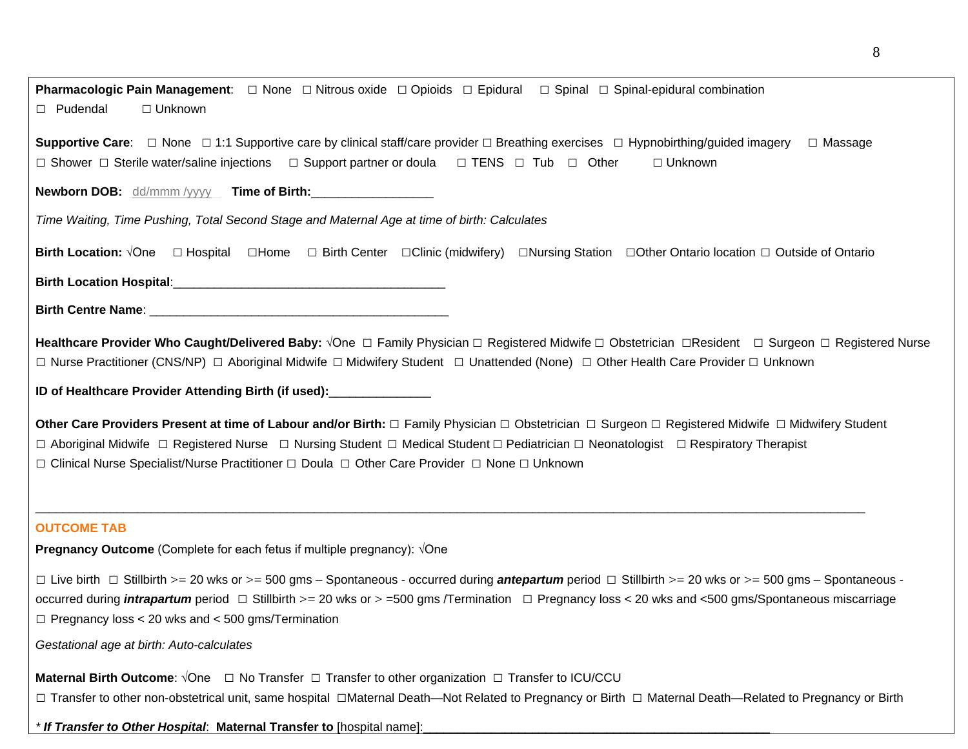**Pharmacologic Pain Management**: □ None □ Nitrous oxide □ Opioids □ Epidural □ Spinal □ Spinal-epidural combination □ Pudendal *□* Unknown

**Supportive Care**: □ None □ 1:1 Supportive care by clinical staff/care provider □ Breathing exercises □ Hypnobirthing/guided imagery □ Massage □ Shower □ Sterile water/saline injections □ Support partner or doula □ TENS □ Tub □ Other *□* Unknown

**Newborn DOB:** dd/mmm /yyyy **Time of Birth:**\_\_\_\_\_\_\_\_\_\_\_\_\_\_\_\_\_\_

*Time Waiting, Time Pushing, Total Second Stage and Maternal Age at time of birth: Calculates* 

**Birth Location:** √One □ Hospital □Home □ Birth Center □Clinic (midwifery) □Nursing Station □Other Ontario location □ Outside of Ontario

**Birth Location Hospital**:\_\_\_\_\_\_\_\_\_\_\_\_\_\_\_\_\_\_\_\_\_\_\_\_\_\_\_\_\_\_\_\_\_\_\_\_\_\_\_\_

**Birth Centre Name**: \_\_\_\_\_\_\_\_\_\_\_\_\_\_\_\_\_\_\_\_\_\_\_\_\_\_\_\_\_\_\_\_\_\_\_\_\_\_\_\_\_\_\_\_

**Healthcare Provider Who Caught/Delivered Baby:** √One □ Family Physician □ Registered Midwife □ Obstetrician □Resident □ Surgeon □ Registered Nurse □ Nurse Practitioner (CNS/NP) □ Aboriginal Midwife □ Midwifery Student □ Unattended (None) □ Other Health Care Provider □ Unknown

**ID of Healthcare Provider Attending Birth (if used):**\_\_\_\_\_\_\_\_\_\_\_\_\_\_\_

 □ Aboriginal Midwife □ Registered Nurse □ Nursing Student □ Medical Student □ Pediatrician □ Neonatologist □ Respiratory Therapist □ Clinical Nurse Specialist/Nurse Practitioner □ Doula □ Other Care Provider □ None □ Unknown **Other Care Providers Present at time of Labour and/or Birth:** □ Family Physician □ Obstetrician □ Surgeon □ Registered Midwife □ Midwifery Student

\_\_\_\_\_\_\_\_\_\_\_\_\_\_\_\_\_\_\_\_\_\_\_\_\_\_\_\_\_\_\_\_\_\_\_\_\_\_\_\_\_\_\_\_\_\_\_\_\_\_\_\_\_\_\_\_\_\_\_\_\_\_\_\_\_\_\_\_\_\_\_\_\_\_\_\_\_\_\_\_\_\_\_\_\_\_\_\_\_\_\_\_\_\_\_\_\_\_\_\_\_\_\_\_\_\_\_\_\_\_\_\_\_\_\_\_\_\_\_\_\_\_

## **OUTCOME TAB**

**Pregnancy Outcome** (Complete for each fetus if multiple pregnancy):  $\sqrt{O}$ ne

**Pregnancy Outcome** (Complete for each fetus if multiple pregnancy): √One<br>□ Live birth □ Stillbirth >= 20 wks or >= 500 gms – Spontaneous - occurred during *antepartum* period □ Stillbirth >= 20 wks or >= 500 gms – Spont occurred during *intrapartum* period □ Stillbirth >= 20 wks or > =500 gms /Termination □ Pregnancy loss < 20 wks and <500 gms/Spontaneous miscarriage □ Pregnancy loss < 20 wks and < 500 gms/Termination

*Gestational age at birth: Auto-calculates* 

 **Maternal Birth Outcome**: √One □ No Transfer □ Transfer to other organization □ Transfer to ICU/CCU □ Transfer to other non-obstetrical unit, same hospital □Maternal Death—Not Related to Pregnancy or Birth □ Maternal Death—Related to Pregnancy or Birth

*\* If Transfer to Other Hospital*: **Maternal Transfer to** [hospital name]:\_\_\_\_\_\_\_\_\_\_\_\_\_\_\_\_\_\_\_\_\_\_\_\_\_\_\_\_\_\_\_\_\_\_\_\_\_\_\_\_\_\_\_\_\_\_\_\_\_\_\_